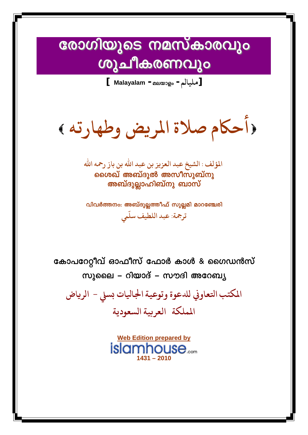### രോഗിയുടെ നമസ്കാരവും v ശുചീകരണവും

**[ Malayalam -**മലയാളം **-مليالم[**

**أحاكم صلاة املريض وطهارته** 

 **املؤلف : الشيخ عبد العزيز بن عبد االله بن باز رمحهاالله** ശൈഖ് അബ്ദുൽ അസീസുബ്നു അബ്ദുല്ലാഹിബ്നു ബാസ്

വിവർത്തനം: അബ്ദുല്ലത്തീഫ് സുല്ലമി മാറഞ്ചേരി **عبد اللطيف سل ّ ترمجة: يم**

കോപറേറ്റീവ് ഓഫീസ് ഫോർ കാൾ & ഗൈഡൻസ് സുലൈ – റിയാദ് – സൗദി അറേബ്യ

**املكتب احكعاوىي لتعوة وتوعيةاجلاǾات بسيل - الرياض اململكة العربيةالسعودية**

> **Web Edition prepared by** islamhouse..... **1431 – 2010**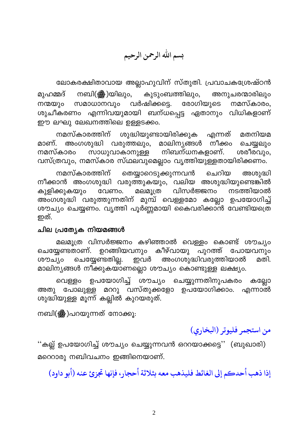بسم الله الرحمن الرحيم

ലോകരക്ഷിതാവായ അല്ലാഹുവിന് സ്തുതി. പ്രവാചകശ്രേഷ്ഠൻ കുടുംബത്തിലും, മുഹമ്മദ് നബി(ﷺ)യിലും, അനുചരന്മാരിലും സമാധാനവും വർഷിക്കട്ടെ. രോഗിയുടെ നമസ്കാരം, നന്മയും ശുചീകരണം എന്നിവയുമായി ബന്ധപ്പെട്ട ഏതാനും വിധികളാണ് ഈ ലഘു ലേഖനത്തിലെ ഉള്ളടക്കം.

ശുദ്ധിയുണ്ടായിരിക്കുക എന്നത് നമസ്കാരത്തിന് മതനിയമ മാണ്. അംഗശുദ്ധി വരുത്തലും, മാലിനൃങ്ങൾ നീക്കം ചെയ്യലും ശരീരവും, സാധുവാകാനുള്ള നിബന്ധനകളാണ്. നമസ്കാരം വസ്ത്രവും, നമസ്കാര സ്ഥലവുമെല്ലാം വൃത്തിയുള്ളതായിരിക്കണം.

തെയ്യാറെടുക്കുന്നവൻ നമസ്കാരത്തിന് ചെറിയ അശ്വദ്ധി നീക്കാൻ അംഗശുദ്ധി വരുത്തുകയും, വലിയ അശുദ്ധിയുണ്ടെങ്കിൽ കുളിക്കുകയും വേണം. മലമൂത്ര വിസർജ്ജനം നടത്തിയാൽ അംഗശുദ്ധി വരുത്തുന്നതിന് മുമ്പ് വെള്ളമോ കല്ലോ ഉപയോഗിച്ച് ശൗച്യം ചെയ്യണം. വൃത്തി പൂർണ്ണമായി കൈവരിക്കാൻ വേണ്ടിയത്രെ ഇത്.

#### ചില പ്രത്യേക നിയമങ്ങൾ

മലമൂത്ര വിസർജ്ജനം കഴിഞ്ഞാൽ വെള്ളം കൊണ്ട് ശൗച്യം ചെയ്യേണ്ടതാണ്. ഉറങ്ങിയവനും കീഴ്വായു പുറത്ത് പോയവനും ചെയ്യേണ്ടതില്ല. അംഗശുദ്ധിവരുത്തിയാൽ ഇവർ മതി. ശൗച്യം മാലിനുങ്ങൾ നിക്കുകയ്ാണല്ലൊ ശൗച്യം കൊണ്ടുള്ള ലക്ഷ്യം.

ഉപയോഗിച്ച് ശൗച്യം ചെയ്യുന്നതിനുപകരം വെള്ളം കല്ലോ അതു പോലുള്ള മററു വസ്തുക്കളോ ഉപയോഗിക്കാം. എന്നാൽ ശുദ്ധിയുള്ള മൂന്ന് കല്ലിൽ കുറയരുത്.

നബി(ﷺ)പറയുന്നത് നോക്കൂ.

من استجمر فليوتر (البخاري)

''കല്ല് ഉപയോഗിച്ച് ശൗച്യം ചെയ്യുന്നവൻ ഒററയാക്കട്ടെ'' (ബുഖാരി) മറെറാരു നബിവചനം ഇങ്ങിനെയാണ്.

إذا ذهب أحدكم إلى الغائط فليذهب معه بثلاثة أحجار، فإنها تجزئ عنه (أبو داود)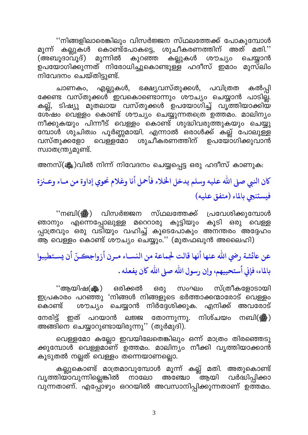''നിങ്ങളിലാരെങ്കിലും വിസർജ്ജന സ്ഥലത്തേക്ക് പോകുമ്പോൾ കല്ലുകൾ കൊണ്ട്പോകട്ടെ, ശുചീകരണത്തിന് അത് മതി.'' മൂന്ന് (അബൂദാവൂദ്) മൂന്നിൽ കുറഞ്ഞ കല്ലുകൾ ശൗച്യം ചെയ്യാൻ ഉപയോഗിക്കുന്നത് നിരോധിച്ചുകൊണ്ടുള്ള ഹദീസ് ഇമാം മുസ്ലിം ്<br>നിവേദനം ചെയ്തിട്ടുണ്ട്.

ചാണകം, എല്ലുകൾ, ഭക്ഷ്യവസ്തുക്കൾ, പവിത്രത കൽപ്പി ക്കേണ്ട വസ്തുക്കൾ ഇവകൊണ്ടൊന്നും ശൗച്യം ചെയ്യാൻ പാടില്ല. കല്ല്, ടിഷ്യു മുതലായ വസ്തുക്കൾ ഉപയോഗിച്ച് വൃത്തിയാക്കിയ ശേഷം വെള്ളം കൊണ്ട് ശൗച്യം ചെയ്യുന്നതത്രെ ഉത്തമം. മാലിന്യം .<br>നീക്കുകയും പിന്നീട് വെള്ളം കൊണ്ട് ശുദ്ധിവരുത്തുകയും ചെയ്യു മ്പോൾ ശുചിത്വം പൂർണ്ണമായി. എന്നാൽ ഒരാൾക്ക് കല്ല് പോലുള്ള ശുചീകരണത്തിന് വെള്ളമോ വസ്തുക്കളോ ഉപയോഗിക്കുവാൻ സ്വാതന്ത്ര്യമുണ്ട്.

അനസ്(ക്ലും)വിൽ നിന്ന് നിവേദനം ചെയ്യപ്പെട്ട ഒരു ഹദീസ് കാണുക:

## كان النبي صلى الله عليه وسلم يدخل الخلاء فأحمل أنا وغلام نحوي إداوة من مـاء وعـنزة فيستنجى بالماء (متفق عليه)

''നബി(▒) വിസർജ്ജന സ്ഥലത്തേക്ക് പ്രവേശിക്കുമ്പോൾ കുട്ടിയും കൂടി ഒരു വെള്ള ഞാനും എന്നെപ്പോലുള്ള മറെറാരു പ്പാത്രവും ഒരു വടിയും വഹിച്ച് കൂടെപോകും അനന്തരം അദ്ദേഹം ആ വെള്ളം കൊണ്ട് ശൗച്യം ചെയ്യും.'' (മുതഫഖുൻ അലൈഹി)

# عن عائشة رضي الله عنها أنها قالت لجماعة من النسـاء مـرن أزواجكـنّ أن يسـتطيبوا بالماء، فإني أستحييهم، وإن رسول الله صلى الله كان يفعله .

സ്ത്രീകളോടായി ''ആയിഷ(ﷺ) ഒരിക്കൽ ഒരു സംഘം ഇപ്രകാരം പറഞ്ഞു 'നിങ്ങൾ നിങ്ങളുടെ ഭർത്താക്കന്മാരോട് വെള്ളം ശൗച്യം ചെയ്യാൻ നിർദ്ദേശിക്കുക. എനിക്ക് അവരോട് കൊണ്ട് തോന്നുന്നു. നിശ്ചയം നേരിട്ട് ഇത് പറയാൻ നബി(ﷺ) <u>පකෙ</u> അങ്ങിനെ ചെയ്യാറുണ്ടായിരുന്നു" (തുർമുദി).

വെള്ളമോ കല്ലോ ഇവയിലേതെങ്കിലും ഒന്ന് മാത്രം തിരഞ്ഞെടു ക്കുമ്പോൾ വെള്ളമാണ് ഉത്തമം. മാലിനും നീക്കി വൃത്തിയാക്കാൻ കൂടുതൽ നല്ലത് വെള്ളം തന്നെയാണല്ലൊ.

കല്ലുകൊണ്ട് മാത്രമാവുമ്പോൾ മൂന്ന് കല്ല് മതി. അതുകൊണ്ട<mark>്</mark> വൃത്തിയാവുന്നില്ലെങ്കിൽ നാലോ അഞ്ചോ ്ആയി വർദ്ധിപ്പിക്കാ വുന്നതാണ്. എപ്പോഴും ഒററയിൽ അവസാനിപ്പിക്കുന്നതാണ് ഉത്തമം.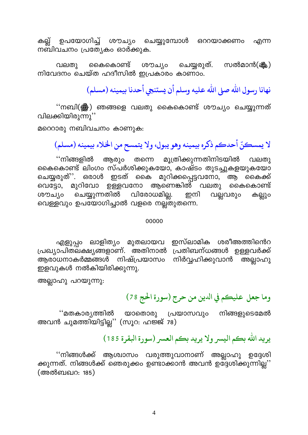കല്ല് ഉപയോഗിച്ച് ശൗച്യം ചെയ്യുമ്പോൾ ഒററയാക്കണം എന്ന നബിവചനം പ്രത്യേകം ഓർക്കുക.

കൈകൊണ്ട് ശൗച്യം ചെയ്യരുത്. സൽമാൻ(ജ്ജു) വലതു നിവേദനം ചെയ്ത ഹദീസിൽ ഇപ്രകാരം കാണാം.

نهانا رسول الله صلى الله عليه وسلم أن يستنجي أحدنا بيمينه (مسلم)

''നബി(▒) ഞങ്ങളെ വലതു കൈകൊണ്ട് ശൗച്യം ചെയ്യുന്നത് വിലക്കിയിരുന്നു''

മറെറാരു നബിവചനം കാണുക:

لا يمسكنّ أحدكم ذكره بيمينه وهو يبول، ولا يتمسح من الخلاء بيمينه (مسلم)

''നിങ്ങളിൽ ആരും തന്നെ മൂത്രിക്കുന്നതിനിടയിൽ വലതു കൈകൊണ്ട് ലിംഗം സ്പർശിക്കുകയോ, കാഷ്ടം തുടച്ചുകളയുകയോ ചെയ്യരുത്''. ഒരാൾ ഇടത് കൈ മുറിക്കപ്പെട്ടവനോ, ആ കൈക്ക് വെട്ടോ, മുറിവോ ഉള്ളവനോ ആണെങ്കിൽ വലതു കൈകൊണ്ട് ചെയ്യുന്നതിൽ വിരോധമില്ല. ഇനി ശരചും വല്ലവരും കല്ലും വെള്ളവും ഉപയോഗിച്ചാൽ വളരെ നല്ല്തുതന്നെ.

#### 00000

ഇസ്ലാമിക ശരീഅത്തിൻെറ എളുപ്പം ലാളിത്യം മുതലായവ പ്രഖ്യാപിതലക്ഷ്യങ്ങളാണ്. അതിനാൽ പ്രതിബന്ധങ്ങൾ ഉള്ളവർക്ക് നിർവ്വഹിക്കുവാൻ അല്ലാഹു ആരാധനാകർമ്മങ്ങൾ നിഷ്പ്രയാസ<u>ം</u> ഇളവുകൾ നൽകിയിരിക്കുന്നു.

അല്ലാഹു പറയുന്നു:

#### وما جعل عليكم في الدين من حرج (سورة الحج 78)

''മതകാര്യത്തിൽ യാതൊരു പ്രയാസവും നിങ്ങളുടെമേൽ അവൻ ചുമത്തിയിട്ടില്ല'' (സൂറ: ഹജ്ജ് 78)

#### يريد الله بكم اليسر ولا يريد بكم العسر (سورة البقرة 185)

''നിങ്ങൾക്ക് ആശ്വാസം വരുത്തുവാനാണ് അല്ലാഹു ഉദ്ദേശി ക്കുന്നത്. നിങ്ങൾക്ക് ഞെരുക്കം ഉണ്ടാക്കാൻ അവൻ ഉദ്ദേശിക്കുന്നില്ല'' (അൽബഖറ: 185)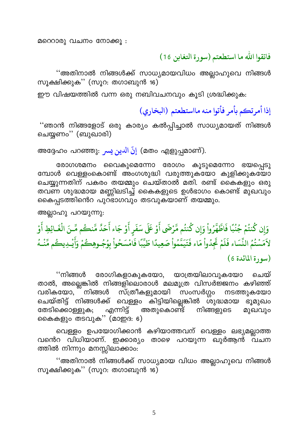മറെറാരു വചനം നോക്കു :

فاتقوا الله ما استطعتم (سورة التغابن 16)

''അതിനാൽ നിങ്ങൾക്ക് സാധ്യമായവിധം അല്ലാഹുവെ നിങ്ങൾ സൂക്ഷിക്കുക'' (സൂറ: തഗാബുൻ 16)

ഈ വിഷയത്തിൽ വന്ന ഒരു നബിവചനവും കൂടി ശ്രദ്ധിക്കുക:

إذا أمرتكم بأمر فأتوا منه مااستطعتم (البخاري)

''ഞാൻ നിങ്ങളോട് ഒരു കാര്യം കൽപ്പിച്ചാൽ സാധ്യമായത് നിങ്ങൾ ചെയ്യണം'' (ബുഖാരി)

അദ്ദേഹം പറഞ്ഞു: إِنَّ الْدينِ يسرِ (മതം എളുപ്പമാണ്).

രോഗശമനം വൈകുമെന്നോ രോഗം കൂടുമെന്നോ ഭയപ്പെടു മ്പോൾ വെള്ളംകൊണ്ട് അംഗശുദ്ധി വരുത്തുകയോ കുളിക്കുകയോ ചെയ്യുന്നതിന് പകരം തയമ്മും ചെയ്താൽ മതി. രണ്ട് കൈകളും ഒരു തവണ ശുദ്ധമായ മണ്ണിലടിച്ച് കൈകളുടെ ഉൾഭാഗം കൊണ്ട് മുഖവും കൈപ്പടത്തിൻെറ പുറ്ടാഗവും തടവുകയാണ് തയമ്മും.

അല്ലാഹു പറയുന്നു:

وَإِن كُنتُمْ جُنُبًا فَاطَّهَّرُواْ وَإِن كُنتُم مَّرْضَى أَوْ عَلَى سَفَرٍ أَوْ جَاء أَحَدَّ مَّنكُم مِّـنَ الْغَـائِطِ أَوْ لاَمَسْتُمُ النِّسَاء فَلَمْ تَجِدُواْ مَاء فَتَيَمَّمُواْ صَعِيدًا طَيِّبًا فَامْسَحُواْ بِوُجُـوهِكُمْ وَأَيْـدِيكُم مِّنْــهُ  $(651)$ سورة المائدة)

''നിങ്ങൾ രോഗികളാകുകയോ, യാത്രയിലാവുകയോ ചെയ് താൽ, അല്ലെങ്കിൽ നിങ്ങളിലൊരാൾ മലമൂത്ര വിസർജ്ജനം കഴിഞ്ഞ് സ്ത്രീകളുമായി സംസർഗ്ഗം നിങ്ങൾ വരികയോ. നടത്തുകയോ ചെയ്തിട്ട് നിങ്ങൾക്ക് വെള്ളം കിട്ടിയില്ലെങ്കിൽ ശുദ്ധമായ ഭൂമുഖം എന്നിട്ട് തേടിക്കൊള്ളുക; അതുകൊണ്ട് നിങ്ങളുടെ മുഖവും കൈകളും തടവുക'' (മാഇദ: 6)

വെള്ളം ഉപയോഗിക്കാൻ കഴിയാത്തവന് വെള്ളം ലഭ്യമല്ലാത്ത വൻെറ വിധിയാണ്. ഇക്കാര്യം താഴെ പറയുന്ന ഖുർആൻ വചന ത്തിൽ നിന്നും മനസ്സിലാക്കാം:

''അതിനാൽ നിങ്ങൾക്ക് സാധ്യമായ വിധം അല്ലാഹുവെ നിങ്ങൾ സൂക്ഷിക്കുക'' (സൂറ: തഗാബുൻ 16)

5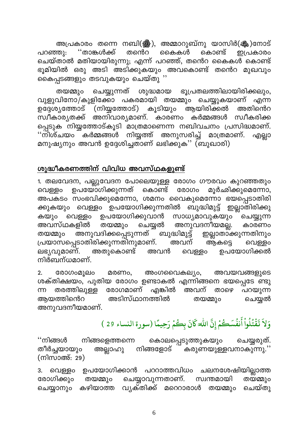അപ്രകാരം തന്നെ നബി(ﷺ), അമ്മാറുബ്നു യാസിർ(ﷺ)നോട് ''താങ്കൾക്ക് കൈകൾ പറഞ്ഞു: തന്തെ കൊണ്ട് ഇപ്രകാരം ചെയ്താൽ മതിയായിരുന്നു; എന്ന് പറഞ്ഞ്, തന്റെ കൈകൾ കൊണ്ട് ഭൂമിയിൽ ഒരു അടി അടിക്കുകയും അവകൊണ്ട് തന്റെ മുഖവും കൈപ്പടങ്ങളും തടവുകയും ചെയ്തു ''

ഭൂപ്രതലത്തിലായിരിക്കലും, ചെയ്യുന്നത് തയമ്മും ശുദ്ധമായ വുളുവിനോ/കുളിക്കോ പകരമായി തയമ്മും ചെയ്യുകയാണ് എന്ന ഉദ്ദേശ്യത്തോട് (നിയ്യത്തോട്) കൂടിയും ആയിരിക്കൽ അതിന്റെറ സ്വീകാര്യതക്ക് അനിവാര്യമാണ്. കാരണം കർമ്മങ്ങൾ സ്വീകരിക്ക പ്പെടുക നിയ്യത്തോട്കൂടി മാത്രമാണെന്ന നബിവചനം പ്രസിദ്ധമാണ്. ''നിശ്ചയം കർമ്മങ്ങൾ നിയ്യത്ത് അനുസരിച്ച് മാത്രമാണ്. എല്ലാ മനുഷ്യനും അവൻ ഉദ്ദേശിച്ചതാണ് ലഭിക്കുക്'' (ബുഖാരി)

#### ശുദ്ധീകരണത്തിന് വിവിധ അവസ്ഥകളുണ്ട്

1. തലവേദന, പല്ലുവേദന പോലെയുള്ള രോഗം ഗൗരവം കുറഞ്ഞതും വെള്ളം ഉപയോഗിക്കുന്നത് മൂർഛിക്കുമെന്നോ, കൊണ്ട് രോഗം അപകടം സംഭവിക്കുമെന്നോ, ശമനം വൈകുമെന്നോ ഭയപ്പെടാതിരി ക്കുകയും വെള്ളം ഉപയോഗിക്കുന്നതിൽ ബുദ്ധിമുട്ട് ഇല്ലാതിരിക്കു ഉപയോഗിക്കുവാൻ സാധ്യമാവുകയും ചെയ്യുന്ന വെള്ളം കയും തയമ്മും അനുവദനീയമല്ല. ചെയ്യൽ അവസ്ഥകളിൽ കാരണം അനുവദിക്കപ്പെടുന്നത് ബുദ്ധിമുട്ട് ഇല്ലാതാക്കുന്നതിനും തയമ്മും പ്രയാസപ്പെടാതിരിക്കുന്നതിനുമാണ്. അവന് ആകട്ടെ വെള്ളം ഉപയോഗിക്കൽ അതുകൊണ്ട് ലഭ്യവുമാണ്. അവൻ വെള്ളം നിർബന്ധമാണ്.

അംഗവൈകല്യം, അവയവങ്ങളുടെ  $2.$ രോഗംമൂലം മരണം, ശക്തിക്ഷയം, പുതിയ രോഗം ഉണ്ടാകൽ എന്നിങ്ങനെ ഭയപ്പെടേ ണ്ടു രോഗമാണ് എങ്കിൽ അവന് തരത്തിലുള്ള m താഴെ പറയുന്ന അടിസ്ഥാനത്തിൽ അയത്തിന്റെറ തയമ്മും ചെയ്യൽ അനുവദനീയമാണ്.

# وَلاَ تَقْتُلُواْ أَنفُسَكُمْ إِنَّ اللَّهَ كَانَ بِكُمْ رَحِيمًا (سورة النساء 29 )

കൊലപ്പെടുത്തുകയും ''നിങ്ങൾ നിങ്ങളെത്തന്നെ ചെയ്യരുത്. നിങ്ങളോട് `` കരുണയുള്ളവനാകുന്നു.'' തീർച്ചയായും അല്ലാഹു (നിസാഅ്: 29)

ചലനശേഷിയില്ലാത്ത ഉപയോഗിക്കാൻ പററാത്തവിധം വെള്ളം 3. ചെയ്യാവുന്നതാണ്. സ്വന്തമായി രോഗിക്കും തയമ്മും തയമ്മും കഴിയാത്ത വൃക്തിക്ക് മറെറാരാൾ തയമ്മും ചെയ്യാനും ചെയ്തു

6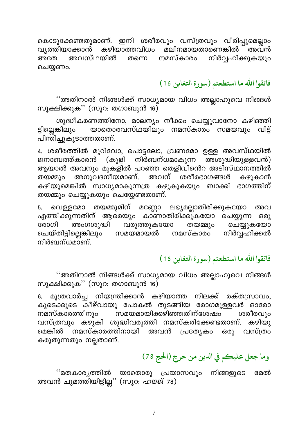കൊടുക്കേണ്ടതുമാണ്. ഇനി ശരീരവും വസ്ത്രവും വിരിപ്പുമെല്ലാം വൃത്തിയാക്കാൻ കഴിയാത്തവിധം മലിനമായതാണെങ്കിൽ അവൻ നിർവ്വഹിക്കുകയും അവസ്ഥയിൽ നമസ്കാരം അതേ തന്നെ ചെയ്യണം.

فاتقوا الله ما استطعتم (سورة التغابن 16 )

''അതിനാൽ നിങ്ങൾക്ക് സാധ്യമായ വിധം അല്ലാഹുവെ നിങ്ങൾ സൂക്ഷിക്കുക'' (സൂറ: തഗാബുൻ 16)

ശുദ്ധീകരണത്തിനോ, മാലന്യം നീക്കം ചെയ്യുവാനോ കഴിഞ്ഞി ട്ടില്ലെങ്കിലും യാതൊരവസ്ഥയിലും നമസ്കാരം സമയവും വിട്ട് പിന്തിച്ചുകൂടാത്തതാണ്.

4. ശരീരത്തിൽ മുറിവോ, പൊട്ടലോ, വ്രണമോ ഉള്ള അവസ്ഥയിൽ നിർബന്ധമാകുന്ന \_\_\_<br>അശുദ്ധിയുള്ളവൻ) (കുളി ജനാബത്ത്കാരൻ ആയാൽ അവനും മുകളിൽ പറഞ്ഞ തെളിവിന്റെ അടിസ്ഥാനത്തിൽ അനുവദനീയമാണ്. അവന് ശരീരഭാഗങ്ങൾ കഴുകാൻ തയമ്മും കഴിയുമെങ്കിൽ സാധ്യമാകുന്നത്ര കഴുകുകയും ബാക്കി ഭാഗത്തിന് തയമ്മും ചെയ്യുകയും ചെയ്യേണ്ടതാണ്.

തയമ്മുമിന് മണ്ണോ ലഭ്യമല്ലാതിരിക്കുകയോ 5. വെള്ളമോ അവ എത്തിക്കുന്നതിന് ആരെയും കാണാതിരിക്കുകയോ ചെയ്യുന്ന ഒരു വരുത്തുകയോ രോഗി അംഗശുദ്ധി ചെയ്യുകയോ തയമ്മും ചെയ്തിട്ടില്ലെങ്കിലും നിർവ്വഹിക്കൽ സമയമായൽ നമസ്കാരം നിർബന്ധമാണ്

#### فاتقوا الله ما استطعتم (سورة التغابن 16 )

''അതിനാൽ നിങ്ങൾക്ക് സാധ്യമായ വിധം അല്ലാഹുവെ നിങ്ങൾ സൂക്ഷിക്കുക'' (സൂറ: തഗാബുൻ 16)

മൂത്രവാർച്ച നിയന്ത്രിക്കാൻ കഴിയാത്ത നിലക്ക് രക്തസ്രാവം,  $6.$ കൂടെക്കൂടെ കീഴ്വായു പോകൽ തുടങ്ങിയ രോഗമുള്ളവർ ഓരോ നമസ്കാരത്തിനും ൜മയമായിക്കഴിഞ്ഞതിന്ശേഷം ശരീരവും വസ്ത്രവും കഴുകി ശുദ്ധിവരുത്തി നമസ്കരിക്കേണ്ടതാണ്. കഴിയു <sup>്</sup> നമസ്കാരത്തിനായി അവൻ പ്രത്യേകം വസ്ത്രം മെങ്കിൽ 630) കരുതുന്നതും നല്ലതാണ്.

### وما جعل عليكم في الدين من حرج (الحج 78)

''മതകാര്യത്തിൽ യാതൊരു പ്രയാസവും നിങ്ങളുടെ മേൽ അവൻ ചുമത്തിയിട്ടില്ല'' (സൂറ: ഹജ്ജ് 78)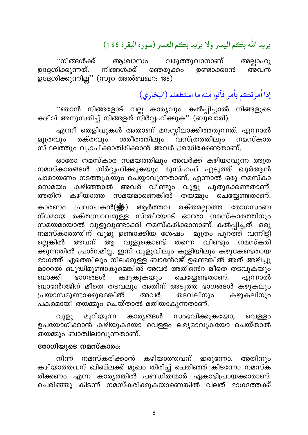## يريد الله بكم اليسر ولا يريد بكم العسر (سورة البقرة 185)

''നിങ്ങൾക്ക് വരുത്തുവാനാണ് അശ്വാസം അല്ലാഹു നിങ്ങൾക്ക് ഉദ്ദേശിക്കുന്നത്. ഞെരുക്കം ഉണ്ടാക്കാൻ അവൻ ഉദ്ദേശിക്കുന്നില്ല്'' (സൂറ അൽബഖറ: 185)

### إذا أمرتكم بأمر فأتوا منه ما استطعتم (البخاري)

''ഞാൻ നിങ്ങളോട് വല്ല കാര്യവും കൽപ്പിച്ചാൽ നിങ്ങളുടെ കഴിവ് അനുസരിച്ച് നിങ്ങളത് നിർവ്വഹിക്കുക'' (ബുഖാരി).

എന്നീ തെളിവുകൾ അതാണ് മനസ്സിലാക്കിത്തരുന്നത്. എന്നാൽ രക്തവും ശരീരത്തിലും വസ്ത്രത്തിലും നമസ്കാര മൂത്രവും സ്ഥലത്തും വ്യാപിക്കാതിരിക്കാൻ അവർ ശ്രദ്ധിക്കേണ്ടതാണ്.

ഓരോ നമസ്കാര സമയത്തിലും അവർക്ക് കഴിയാവുന്ന അത്ര നമസ്കാരങ്ങൾ നിർവ്വഹിക്കുകയും മുസ്ഹഫ് എടുത്ത് ഖുർആൻ പാരായണം നടത്തുകയും ചെയ്യാവുന്നതാണ്. എന്നാൽ ഒരു നമസ്കാ വുളു പുതുക്കേണ്ടതാണ്. അവർ വീണ്ടും കഴിഞ്ഞാൽ രസമയം അതിന് തയമ്മും ചെയ്യേണ്ടതാണ്. കഴിയാത്ത സമയമാണെങ്കിൽ പ്രവാചകൻ(ﷺ) ആർത്തവ രക്തമല്ലാത്ത രോഗസംബ കാരണം ന്ധമായ രക്തസ്രാവമുള്ള സ്ത്രീയോട് ഓരോ് നമസ്കാരത്തിനും സമയമായാൽ വുളുവുണ്ടാക്കി നമസ്കരിക്കാനാണ് കൽപ്പിച്ചത്. ഒരു നമസ്കാരത്തിന് വുളു ഉണ്ടാക്കിയ ശേഷം മൂത്രം പുറത്ത് വന്നിട്ടി <sup>്</sup> വീണ്ടും നമസ്കരി ല്ലെങ്കിൽ അവന് ആ വുളുകൊണ്ട് തന്നെ ക്ക്ുന്നതിൽ പ്രശ്നമില്ല. ഇനി വുളുവിലും കുളിയിലും കഴുകേണ്ടതായ ഭാഗത്ത് ഏതെങ്കിലും നിലക്കുള്ള ബാന്റേജ് ഉണ്ടെങ്കിൽ അത് അഴിച്ചു മാററൽ ബുദ്ധിമുണ്ടാകുമെങ്കിൽ അവർ അതിൻെറ മീതെ തടവുകയും എന്നാൽ കഴുകുകയും ചെയ്യേണ്ടതാണ്. ബാക്കി ഭാഗങ്ങൾ ബാന്റേജിന് മീതെ തടവലും അതിന് അടുത്ത ഭാഗങ്ങൾ കഴുകലും പ്രയാസമുണ്ടാക്കുമെങ്കിൽ തടവലിനും അവർ കഴുകലിനും പകരമായി തയമ്മും ചെയ്താൽ മതിയാകുന്നതാണ്.

സംഭവിക്കുകയോ, മുറിയുന്ന കാര്യങ്ങൾ വുളു വെള്ളം ഉപയോഗിക്കാൻ കഴിയുകയോ വെള്ളം ലഭ്യമാവുകയോ ചെയ്താൽ തയമ്മും ബാത്വിലാവുന്നതാണ്.

#### രോഗിയുടെ നമസ്കാരം:

നിന്ന് നമസ്കരിക്കാൻ കഴിയാത്തവന് ഇരുന്നോ, അതിനും കഴിയാത്തവന് ഖിബ്ലക്ക് മുഖം തിരിച്ച് ചെരിഞ്ഞ് കിടന്നോ നമസ്ക രിക്കണം എന്ന കാര്യത്തിൽ പണ്ഡിതന്മാർ ഏകാഭിപ്രായക്കാരാണ്. ചെരിഞ്ഞു കിടന്ന് നമസ്കരിക്കുകയാണെങ്കിൽ വലത് ഭാഗത്തേക്ക്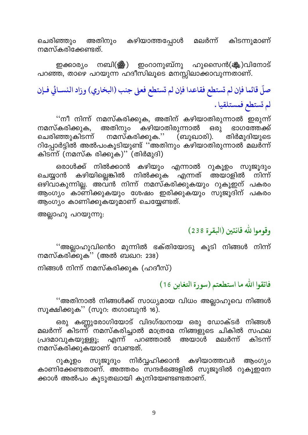ചെരിഞ്ഞും അതിനും കഴിയാത്തപ്പോൾ മലർന്ന് കിടന്നുമാണ് നമസ്കരിക്കേണ്ടത്.

ഇക്കാര്യം നബി(ﷺ) ഇംറാനുബ്നു ഹുസൈൻ(ﷺ)വിനോട് പറഞ്ഞ, താഴെ പറയുന്ന ഹദീസിലൂടെ മനസ്സിലാക്കാവുന്നതാണ്.

# صلّ قائما فإن لم تستطع فقاعدا فإن لم تستطع فعلى جنب (البخاري) وزاد النسـائي فـإن لم تستطع فمستلقيا.

''നീ നിന്ന് നമസ്കരിക്കുക, അതിന് കഴിയാതിരുന്നാൽ ഇരുന്ന് ്കഴിയാതിരുന്നാൽ അതിനും നമസ്കരിക്കുക,  $600$ ഭാഗത്തേക്ക് നമസ്കരിക്കുക.'' തിർമുദിയുടെ ചെരിഞ്ഞുകിടന്ന് (ബുഖാരി). റിപ്പോർട്ടിൽ അൽപംകൂടിയുണ്ട് ''അതിനും കഴിയാതിരുന്നാൽ മലർന്ന് കിടന്ന് (നമസ്ക രിക്കുക)'' (തിർമുദി)

ഒരാൾക്ക് നിൽക്കാൻ കഴിയും എന്നാൽ റുകൂഉം സുജൂദും എന്നത് അയാളിൽ കഴിയില്ലെങ്കിൽ നിൽക്കുക ചെയ്യാൻ നിന്ന് ഒഴിവാകുന്നില്ല. അവ്ൻ നിന്ന് നമസ്കരിക്കുകയും റുകൂഇന് പകരം ആംഗ്യം കാണിക്കുകയും ശേഷം ഇരിക്കുകയും സുജൂദിന് പകരം ആംഗ്യം കാണിക്കുകയുമാണ് ചെയ്യേണ്ടത്.

അല്ലാഹു പറയുന്നു:

### وقوموا لله قانتين (البقرة 238)

''അല്ലാഹുവിൻെറ മുന്നിൽ ഭക്തിയോടു കൂടി നിങ്ങൾ നിന്ന് നമസ്കരിക്കുക'' (അൽ ബഖറ: 238)

നിങ്ങൾ നിന്ന് നമസ്കരിക്കുക (ഹദീസ്)

#### فاتقوا الله ما استطعتم (سورة التغابن 16 )

''അതിനാൽ നിങ്ങൾക്ക് സാധ്യമായ വിധം അല്ലാഹുവെ നിങ്ങൾ സൂക്ഷിക്കുക'' (സൂറ: തഗാബുൻ 16).

ഒരു കണ്ണുരോഗിയോട് വിദഗ്ദ്ധനായ ഒരു ഡോക്ടർ നിങ്ങൾ മലർന്ന് കിടന്ന് നമസ്കരിച്ചാൽ മാത്രമേ നിങ്ങളുടെ ചികിൽ സഫല എന്ന് \_<br>പറഞ്ഞാൽ പ്രദമാവുകയുള്ളൂ; മലർന്ന് കിടന്ന് അയാൾ നമസ്കരിക്കുകയാണ് വേണ്ടത്.

സുജൂദും നിർവ്വഹിക്കാൻ കഴിയാത്തവർ ആംഗ്യം 0) <del>დ</del>ანი കാണിക്കേണ്ടതാണ്. അത്തരം സന്ദർഭങ്ങളിൽ സുജുദിൽ റുകുഇനേ ക്കാൾ അൽപം കൂടുതലായി കുനിയേണ്ടണ്ടതാണ്.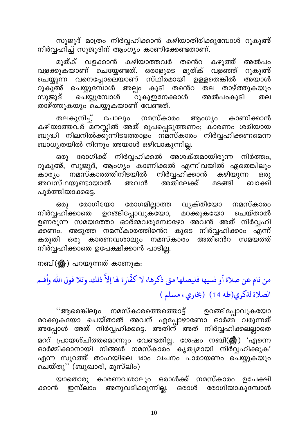സുജൂദ് മാത്രം നിർവ്വഹിക്കാൻ കഴിയാതിരിക്കുമ്പോൾ റുകൂഅ് നിർവ്വഹിച്ച് സുജൂദിന് ആംഗ്യം കാണിക്കേണ്ടതാണ്.

കഴിയാത്തവർ മുത്ക് വളക്കാൻ തന്തെറ അൽപം കഴുത്ത് മുത്ക് വള്ഞ്ഞ് വളക്കുകയാണ് ചെയ്യേണ്ടത്. ഒരാളുടെ റുകൂഅ് വനെപ്പോലെയാണ് സ്ഥിരമായി ഉള്ളതെങ്കിൽ ചെയ്യുന്ന അയാൾ റുകൂഅ് ചെയ്യുമ്പോൾ അല്പം കൂടി തന്റെ തല താഴ്ത്തുകയും ചെയ്യുമ്പോൾ അൽപാകൂടി സുജൂദ് ഁറുകൂഇനേക്കാൾ തല താഴ്ത്തുകയും ചെയ്യുകയാണ് വേണ്ടത്.

തലകുനിച്ച് പോലും നമസ്കാരം ആ൦ഗ്യാം കാണിക്കാൻ കഴിയാത്തവർ മനസ്സിൽ അത് രൂപപ്പെടുത്തണം; കാരണം ശരിയായ ബുദ്ധി നിലനിൽക്കുന്നിടത്തോളം നമസ്കാരം നിർവ്വഹിക്കണമെന്ന ബാധ്യതയിൽ നിന്നും അയാൾ ഒഴിവാകുന്നില്ല.

രോഗിക്ക് നിർവ്വഹിക്കൽ അശക്തമായിരുന്ന നിർത്തം, ഒരു റുകൂഅ്, സുജൂദ്, ആംഗ്യം കാണിക്കൽ എന്നിവയിൽ ഏതെങ്കിലും കാര്യം നമസ്കാരത്തിനിടയിൽ നിർവ്വഹിക്കാൻ കഴിയുന്ന 630) അവസ്ഥയുണ്ടായാൽ അതിലേക്ക് അവൻ മടങ്ങി ബാക്കി പൂർത്തിയാക്കട്ടെ.

രോഗമില്ലാത്ത വൃക്തിയോ രോഗിയോ നമസ്കാരം ഒരു നിർവ്വഹിക്കാതെ ഉറങ്ങിപ്പോവുക്യോ, മറക്കുകയോ ചെയ്താൽ ഉണരുന്ന സമയത്തോ ഓർമ്മവരുമ്പോഴോ അവൻ അത് നിർവ്വഹി \_<br>ക്കണം. അടുത്ത നമസ്കാരത്തിന്റെ കൂടെ നിർവ്വഹിക്കാം എന്ന് ഒരു കാരണവശാലും നമസ്കാരം അതിന്റെറ സമയത്ത് കരുതി നിർവ്വഹിക്കാതെ ഉപേക്ഷിക്കാൻ പാടില്ല.

നബി(ﷺ) പറയുന്നത് കാണുക:

من نام عن صلاة أو نسيها فليصلها متى ذكرها، لا كفَّارة لها إلاَّ ذلك. وتلا قول الله وأقـم الصلاة لذكرى(طه 14) (بخارى، مسلم)

ഉറങ്ങിപ്പോവുകയോ ''ആരെങ്കിലും നമസ്കാരത്തെത്തൊട്ട് മറക്കുകയോ ചെയ്താൽ അവന് എപ്പോഴാണോ ഓർമ്മ് വരുന്നത് അപ്പോൾ അത് നിർവ്വഹിക്കട്ടെ. അതിന് അത് നിർവ്വഹിക്കലല്ലാതെ മററ് പ്രായശ്ചിത്തമൊന്നും വേണ്ടതില്ല. ശേഷം നബി(ﷺ) 'എന്നെ ഓർമ്മിക്കാനായി നിങ്ങൾ നമസ്കാരം കൃതൃമായി നിർവ്വഹിക്കുക' എന്ന സൂറത്ത് താഹയിലെ 14ാം വചനം പാരായണം ചെയ്യുകയും ചെയ്തു'' (ബുഖാരി, മുസ്ലിം)

കാരണവശാലും ഒരാൾക്ക് നമസ്കാരം ഉപേക്ഷി യാതൊരു അനുവദിക്കുന്നില്ല. ഒരാൾ രോഗിയാകുമ്പോൾ ക്കാൻ ഇസ്ലാം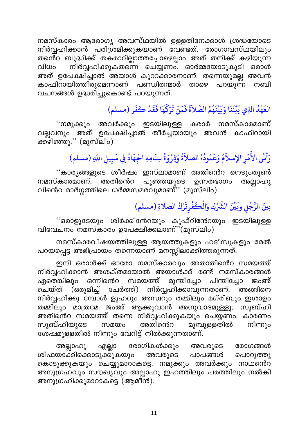നമസ്കാരം ആരോഗ്യ അവസ്ഥയിൽ ഉള്ളതിനേക്കാൾ ശ്രദ്ധയോടെ നിർവ്വഹിക്കാൻ പരിശ്രമിക്കുകയാണ് വേണ്ടത്. രോഗാവസ്ഥയിലും തന്റെ ബുദ്ധിക്ക് തകരാറില്ലാത്തപ്പോഴെല്ലാം അത് തനിക്ക് കഴിയുന്ന നിർവ്വഹിക്കുകതന്നെ ചെയ്യണം. ഓർമ്മയോടുകൂടി ഒരാൾ വിധം അത് ഉപേക്ഷിച്ചാൽ അയാൾ കുററക്കാരനാണ്. തന്നെയുമല്ല അവൻ കാഫിറായിത്തിരുമെന്നാണ് പണ്ഡിതന്മാർ പറയുന്ന താഴെ നബി വചനങ്ങൾ ഉദ്ധരിച്ചുകൊണ്ട് പറയുന്നത്.

## العَهْدُ الَّذِي بَيْنَنَا وَبَيْنَهُمْ الصَّلاَّةُ فَمَنْ تَرَكَّهَا فَقَدْ كَفَرٍ (مسلم)

അവർക്കും ഇടയിലുള്ള കരാർ നമസ്കാരമാണ് ''നമുക്കും വല്ലവനും അത് ഉപേക്ഷിച്ചാൽ തീർച്ചയായും അവൻ കാഫിറായി ക്കഴിഞ്ഞു.'' (മുസ്ലിം)

## رَاْسُ الأَمْرِ الإسلاَمُ وَعَمُودُهُ الصلاَةُ وَذِرْوَةُ سِنَامِهِ الْجِهَادُ فِي سَبِيلِ اللهِ (مسلم)

''കാര്യങ്ങളുടെ ശീർഷം ഇസ്ലാമാണ് അതിൻെറ നെടുംതുൺ നമസ്കാരമാണ്. അതിനെറെ പൂഞ്ഞയുടെ ഉന്നതഭാഗം അല്ലാഹു വിൻെറ മാർഗ്ഗത്തിലെ ധർമ്മസമരവുമാണ്'' (മുസ്ലിം)

## بينَ الرَّجُلِ وبَيْنَ الشِّرْكِ وَالْكُفْرِتَرْكُ الصلاةِ (مسلم)

''ഒരാളുടേയും ശിർക്കിന്റേറയും കുഫ്റിൻേറയും ഇടയിലുള്ള വിവേചനം നമസ്കാരം ഉപേക്ഷിക്കലാണ്''(മുസ്ലിം)

നമസ്കാരവിഷയത്തിലുള്ള ആയത്തുകളും ഹദീസുകളും മേൽ പറയപ്പെട്ട അഭിപ്രായം തന്നെയാണ് മനസ്സിലാക്കിത്തരുന്നത്.

ഇനി ഒരാൾക്ക് ഓരോ നമസ്കാരവും അതാതിന്റെ സമയത്ത് നിർവ്വഹിക്കാൻ അശക്തമായാൽ അയാൾക്ക് രണ്ട് നമസ്കാരങ്ങൾ മുന്തിച്ചോ ഒന്നിൻെറ ഏതെങ്കിലും സമയത്ത് പിന്തിച്ചോ ജംഅ് (ഒരുമിച്ച് ചേർത്ത്) നിർവ്വഹിക്കാവുന്നതാണ്. അങ്ങിനെ ചെയ്ത് നിർവ്വഹിക്കു മ്പോൾ ളുഹറും അസ്വറും തമ്മിലും മഗ്രിബും ഇശാഉം തമ്മിലും മാത്രമേ ജംഅ് ആക്കുവാൻ അനുവാദമുള്ളൂ. സുബ്ഹി അതിൻെറ സമയത്ത് തന്നെ നിർവ്വഹിക്കുകയും ചെയ്യണം. കാരണം സുബ്ഹിയുടെ സമയം മുമ്പുള്ളതിൽ അതിന്റെറ നിന്നും ശേഷമുള്ളതിൽ നിന്നും വേറിട്ട് നിൽക്കുന്നതാണ്.

രോഗികൾക്കും എല്ലാ അല്ലാഹു അവരുടെ രോഗങ്ങൾ ശിഫയാക്കിക്കൊടുക്കുകയും അവരുടെ പാപങ്ങൾ പൊറുത്തു കൊടുക്കുകയും ചെയ്യുമാറാകട്ടെ. നമുക്കും അവർക്കും നാഥന്റെറ അനുഗ്രഹവും സൗഖ്യവും അല്ലാഹു ഇഹത്തിലും പരത്തിലും നൽകി അനുഗ്രഹിക്കുമാറാകടെ (ആമീൻ).